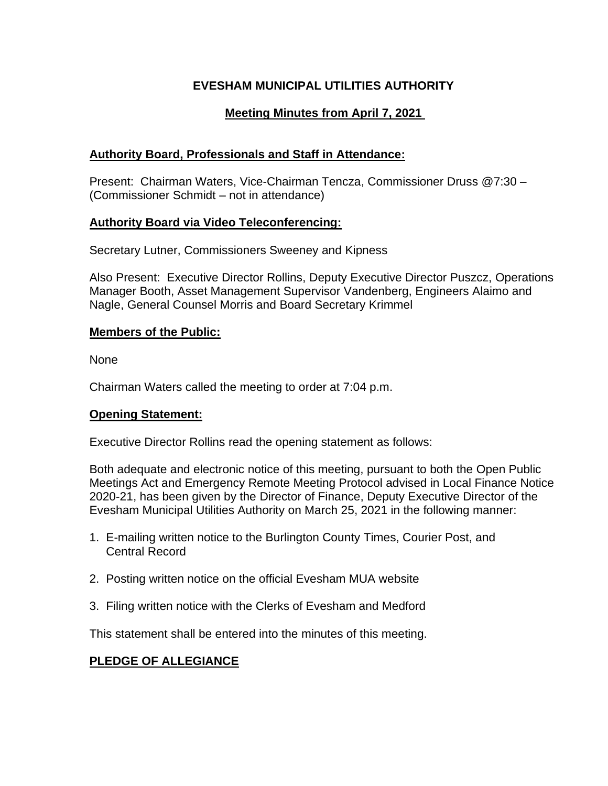# **EVESHAM MUNICIPAL UTILITIES AUTHORITY**

# **Meeting Minutes from April 7, 2021**

## **Authority Board, Professionals and Staff in Attendance:**

Present: Chairman Waters, Vice-Chairman Tencza, Commissioner Druss @7:30 – (Commissioner Schmidt – not in attendance)

## **Authority Board via Video Teleconferencing:**

Secretary Lutner, Commissioners Sweeney and Kipness

Also Present: Executive Director Rollins, Deputy Executive Director Puszcz, Operations Manager Booth, Asset Management Supervisor Vandenberg, Engineers Alaimo and Nagle, General Counsel Morris and Board Secretary Krimmel

## **Members of the Public:**

None

Chairman Waters called the meeting to order at 7:04 p.m.

## **Opening Statement:**

Executive Director Rollins read the opening statement as follows:

Both adequate and electronic notice of this meeting, pursuant to both the Open Public Meetings Act and Emergency Remote Meeting Protocol advised in Local Finance Notice 2020-21, has been given by the Director of Finance, Deputy Executive Director of the Evesham Municipal Utilities Authority on March 25, 2021 in the following manner:

- 1. E-mailing written notice to the Burlington County Times, Courier Post, and Central Record
- 2. Posting written notice on the official Evesham MUA website
- 3. Filing written notice with the Clerks of Evesham and Medford

This statement shall be entered into the minutes of this meeting.

# **PLEDGE OF ALLEGIANCE**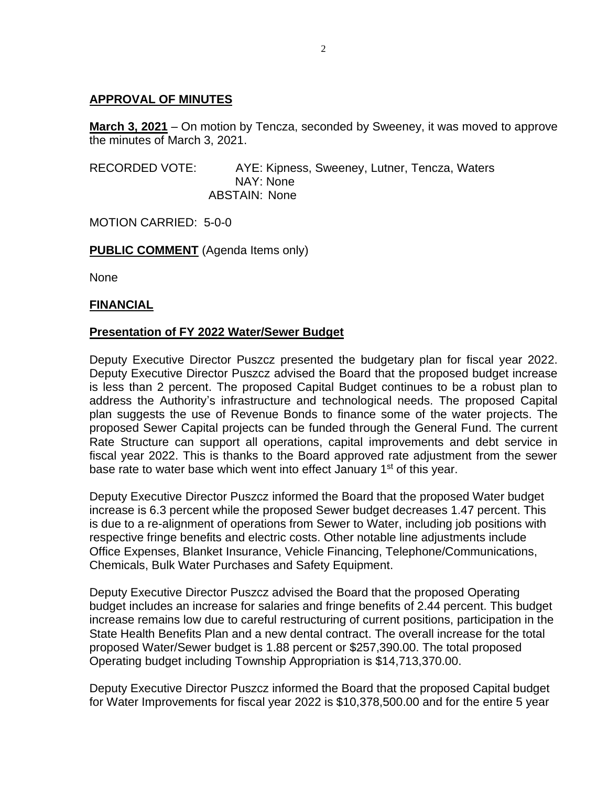### **APPROVAL OF MINUTES**

**March 3, 2021** – On motion by Tencza, seconded by Sweeney, it was moved to approve the minutes of March 3, 2021.

RECORDED VOTE: AYE: Kipness, Sweeney, Lutner, Tencza, Waters NAY: None ABSTAIN: None

MOTION CARRIED: 5-0-0

**PUBLIC COMMENT** (Agenda Items only)

None

#### **FINANCIAL**

### **Presentation of FY 2022 Water/Sewer Budget**

Deputy Executive Director Puszcz presented the budgetary plan for fiscal year 2022. Deputy Executive Director Puszcz advised the Board that the proposed budget increase is less than 2 percent. The proposed Capital Budget continues to be a robust plan to address the Authority's infrastructure and technological needs. The proposed Capital plan suggests the use of Revenue Bonds to finance some of the water projects. The proposed Sewer Capital projects can be funded through the General Fund. The current Rate Structure can support all operations, capital improvements and debt service in fiscal year 2022. This is thanks to the Board approved rate adjustment from the sewer base rate to water base which went into effect January 1<sup>st</sup> of this year.

Deputy Executive Director Puszcz informed the Board that the proposed Water budget increase is 6.3 percent while the proposed Sewer budget decreases 1.47 percent. This is due to a re-alignment of operations from Sewer to Water, including job positions with respective fringe benefits and electric costs. Other notable line adjustments include Office Expenses, Blanket Insurance, Vehicle Financing, Telephone/Communications, Chemicals, Bulk Water Purchases and Safety Equipment.

Deputy Executive Director Puszcz advised the Board that the proposed Operating budget includes an increase for salaries and fringe benefits of 2.44 percent. This budget increase remains low due to careful restructuring of current positions, participation in the State Health Benefits Plan and a new dental contract. The overall increase for the total proposed Water/Sewer budget is 1.88 percent or \$257,390.00. The total proposed Operating budget including Township Appropriation is \$14,713,370.00.

Deputy Executive Director Puszcz informed the Board that the proposed Capital budget for Water Improvements for fiscal year 2022 is \$10,378,500.00 and for the entire 5 year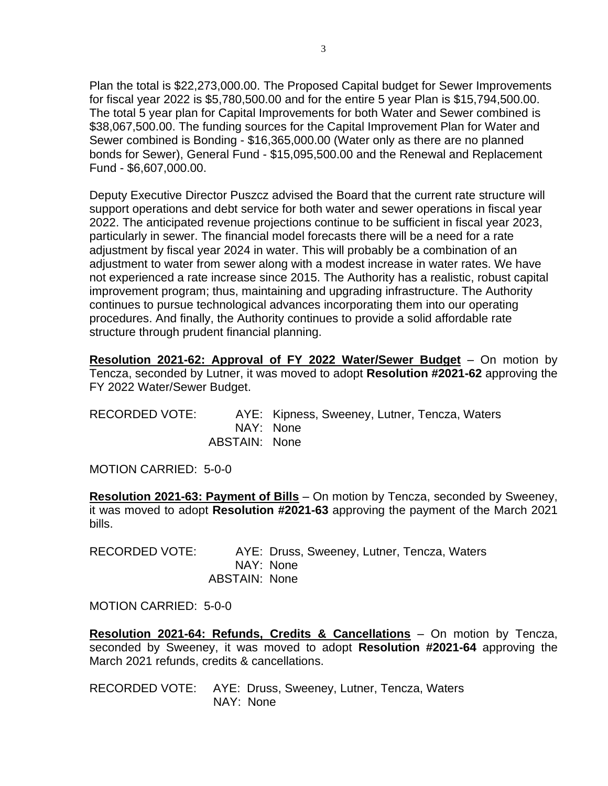Plan the total is \$22,273,000.00. The Proposed Capital budget for Sewer Improvements for fiscal year 2022 is \$5,780,500.00 and for the entire 5 year Plan is \$15,794,500.00. The total 5 year plan for Capital Improvements for both Water and Sewer combined is \$38,067,500.00. The funding sources for the Capital Improvement Plan for Water and Sewer combined is Bonding - \$16,365,000.00 (Water only as there are no planned bonds for Sewer), General Fund - \$15,095,500.00 and the Renewal and Replacement Fund - \$6,607,000.00.

Deputy Executive Director Puszcz advised the Board that the current rate structure will support operations and debt service for both water and sewer operations in fiscal year 2022. The anticipated revenue projections continue to be sufficient in fiscal year 2023, particularly in sewer. The financial model forecasts there will be a need for a rate adjustment by fiscal year 2024 in water. This will probably be a combination of an adjustment to water from sewer along with a modest increase in water rates. We have not experienced a rate increase since 2015. The Authority has a realistic, robust capital improvement program; thus, maintaining and upgrading infrastructure. The Authority continues to pursue technological advances incorporating them into our operating procedures. And finally, the Authority continues to provide a solid affordable rate structure through prudent financial planning.

**Resolution 2021-62: Approval of FY 2022 Water/Sewer Budget** – On motion by Tencza, seconded by Lutner, it was moved to adopt **Resolution #2021-62** approving the FY 2022 Water/Sewer Budget.

| RECORDED VOTE: |               | AYE: Kipness, Sweeney, Lutner, Tencza, Waters |
|----------------|---------------|-----------------------------------------------|
|                |               | NAY: None                                     |
|                | ABSTAIN: None |                                               |

MOTION CARRIED: 5-0-0

**Resolution 2021-63: Payment of Bills** – On motion by Tencza, seconded by Sweeney, it was moved to adopt **Resolution #2021-63** approving the payment of the March 2021 bills.

RECORDED VOTE: AYE: Druss, Sweeney, Lutner, Tencza, Waters NAY: None ABSTAIN: None

MOTION CARRIED: 5-0-0

**Resolution 2021-64: Refunds, Credits & Cancellations** – On motion by Tencza, seconded by Sweeney, it was moved to adopt **Resolution #2021-64** approving the March 2021 refunds, credits & cancellations.

RECORDED VOTE: AYE: Druss, Sweeney, Lutner, Tencza, Waters NAY: None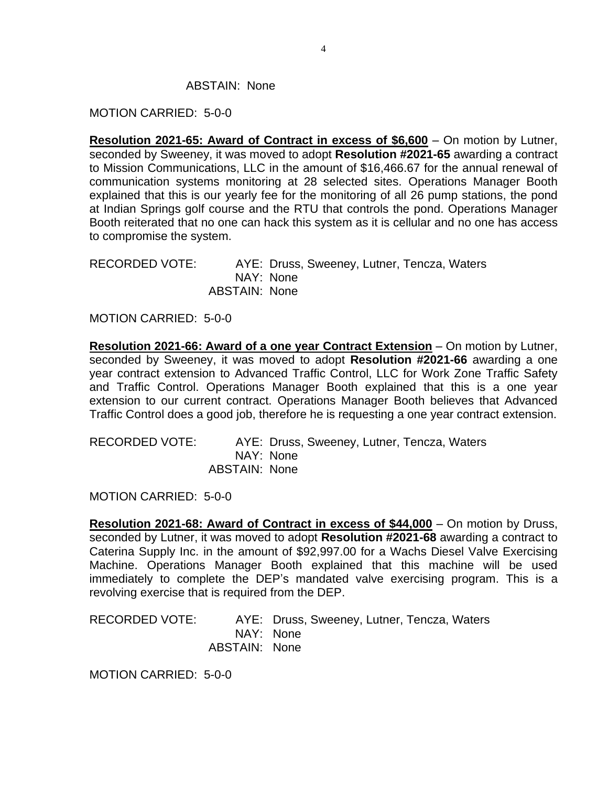#### ABSTAIN: None

#### MOTION CARRIED: 5-0-0

**Resolution 2021-65: Award of Contract in excess of \$6,600** – On motion by Lutner, seconded by Sweeney, it was moved to adopt **Resolution #2021-65** awarding a contract to Mission Communications, LLC in the amount of \$16,466.67 for the annual renewal of communication systems monitoring at 28 selected sites. Operations Manager Booth explained that this is our yearly fee for the monitoring of all 26 pump stations, the pond at Indian Springs golf course and the RTU that controls the pond. Operations Manager Booth reiterated that no one can hack this system as it is cellular and no one has access to compromise the system.

RECORDED VOTE: AYE: Druss, Sweeney, Lutner, Tencza, Waters NAY: None ABSTAIN: None

MOTION CARRIED: 5-0-0

**Resolution 2021-66: Award of a one year Contract Extension** – On motion by Lutner, seconded by Sweeney, it was moved to adopt **Resolution #2021-66** awarding a one year contract extension to Advanced Traffic Control, LLC for Work Zone Traffic Safety and Traffic Control. Operations Manager Booth explained that this is a one year extension to our current contract. Operations Manager Booth believes that Advanced Traffic Control does a good job, therefore he is requesting a one year contract extension.

| RECORDED VOTE: |               | AYE: Druss, Sweeney, Lutner, Tencza, Waters |
|----------------|---------------|---------------------------------------------|
|                |               | NAY: None                                   |
|                | ABSTAIN: None |                                             |

MOTION CARRIED: 5-0-0

**Resolution 2021-68: Award of Contract in excess of \$44,000** – On motion by Druss, seconded by Lutner, it was moved to adopt **Resolution #2021-68** awarding a contract to Caterina Supply Inc. in the amount of \$92,997.00 for a Wachs Diesel Valve Exercising Machine. Operations Manager Booth explained that this machine will be used immediately to complete the DEP's mandated valve exercising program. This is a revolving exercise that is required from the DEP.

RECORDED VOTE: AYE: Druss, Sweeney, Lutner, Tencza, Waters NAY: None ABSTAIN: None

MOTION CARRIED: 5-0-0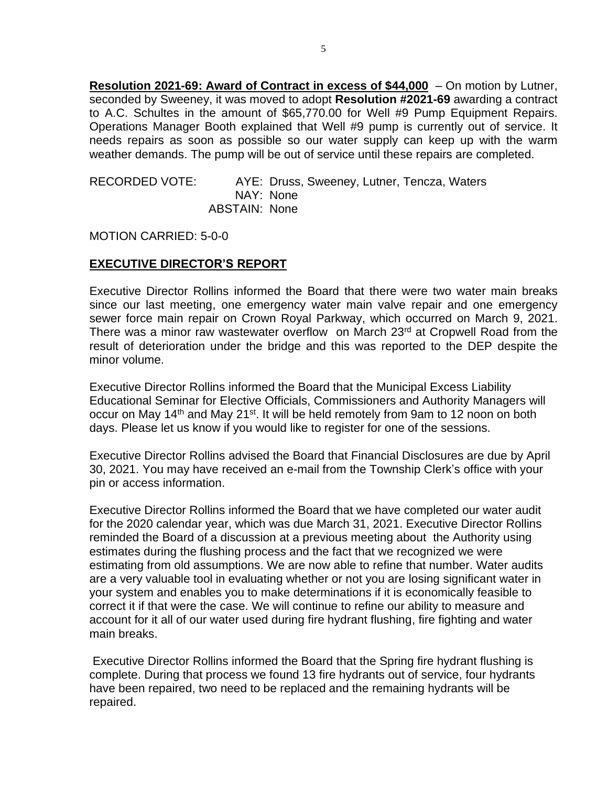**Resolution 2021-69: Award of Contract in excess of \$44,000** – On motion by Lutner, seconded by Sweeney, it was moved to adopt **Resolution #2021-69** awarding a contract to A.C. Schultes in the amount of \$65,770.00 for Well #9 Pump Equipment Repairs. Operations Manager Booth explained that Well #9 pump is currently out of service. It needs repairs as soon as possible so our water supply can keep up with the warm weather demands. The pump will be out of service until these repairs are completed.

RECORDED VOTE: AYE: Druss, Sweeney, Lutner, Tencza, Waters NAY: None ABSTAIN: None

MOTION CARRIED: 5-0-0

## **EXECUTIVE DIRECTOR'S REPORT**

Executive Director Rollins informed the Board that there were two water main breaks since our last meeting, one emergency water main valve repair and one emergency sewer force main repair on Crown Royal Parkway, which occurred on March 9, 2021. There was a minor raw wastewater overflow on March 23<sup>rd</sup> at Cropwell Road from the result of deterioration under the bridge and this was reported to the DEP despite the minor volume.

Executive Director Rollins informed the Board that the Municipal Excess Liability Educational Seminar for Elective Officials, Commissioners and Authority Managers will occur on May 14<sup>th</sup> and May 21<sup>st</sup>. It will be held remotely from 9am to 12 noon on both days. Please let us know if you would like to register for one of the sessions.

Executive Director Rollins advised the Board that Financial Disclosures are due by April 30, 2021. You may have received an e-mail from the Township Clerk's office with your pin or access information.

Executive Director Rollins informed the Board that we have completed our water audit for the 2020 calendar year, which was due March 31, 2021. Executive Director Rollins reminded the Board of a discussion at a previous meeting about the Authority using estimates during the flushing process and the fact that we recognized we were estimating from old assumptions. We are now able to refine that number. Water audits are a very valuable tool in evaluating whether or not you are losing significant water in your system and enables you to make determinations if it is economically feasible to correct it if that were the case. We will continue to refine our ability to measure and account for it all of our water used during fire hydrant flushing, fire fighting and water main breaks.

Executive Director Rollins informed the Board that the Spring fire hydrant flushing is complete. During that process we found 13 fire hydrants out of service, four hydrants have been repaired, two need to be replaced and the remaining hydrants will be repaired.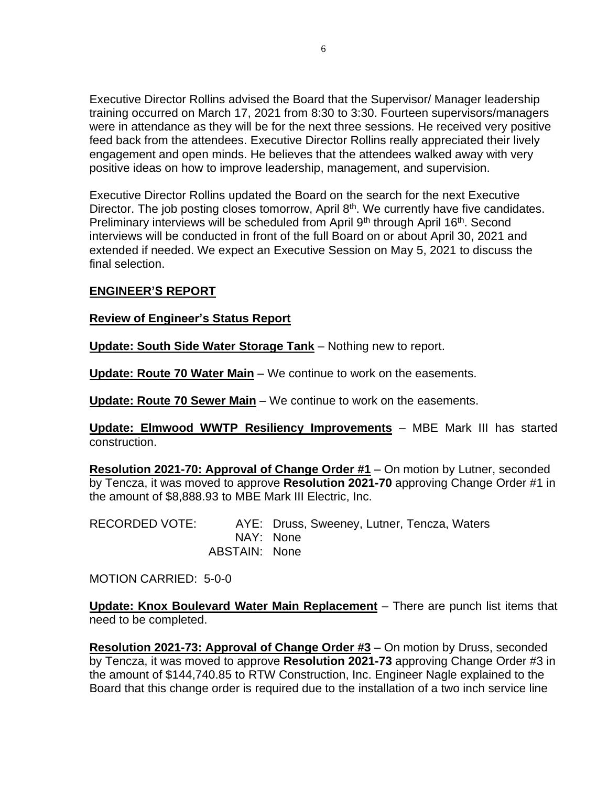Executive Director Rollins advised the Board that the Supervisor/ Manager leadership training occurred on March 17, 2021 from 8:30 to 3:30. Fourteen supervisors/managers were in attendance as they will be for the next three sessions. He received very positive feed back from the attendees. Executive Director Rollins really appreciated their lively engagement and open minds. He believes that the attendees walked away with very positive ideas on how to improve leadership, management, and supervision.

Executive Director Rollins updated the Board on the search for the next Executive Director. The job posting closes tomorrow, April 8<sup>th</sup>. We currently have five candidates. Preliminary interviews will be scheduled from April 9<sup>th</sup> through April 16<sup>th</sup>. Second interviews will be conducted in front of the full Board on or about April 30, 2021 and extended if needed. We expect an Executive Session on May 5, 2021 to discuss the final selection.

## **ENGINEER'S REPORT**

## **Review of Engineer's Status Report**

**Update: South Side Water Storage Tank** – Nothing new to report.

**Update: Route 70 Water Main** – We continue to work on the easements.

**Update: Route 70 Sewer Main** – We continue to work on the easements.

**Update: Elmwood WWTP Resiliency Improvements** – MBE Mark III has started construction.

**Resolution 2021-70: Approval of Change Order #1** – On motion by Lutner, seconded by Tencza, it was moved to approve **Resolution 2021-70** approving Change Order #1 in the amount of \$8,888.93 to MBE Mark III Electric, Inc.

| RECORDED VOTE: |               | AYE: Druss, Sweeney, Lutner, Tencza, Waters |
|----------------|---------------|---------------------------------------------|
|                | NAY: None     |                                             |
|                | ABSTAIN: None |                                             |

MOTION CARRIED: 5-0-0

**Update: Knox Boulevard Water Main Replacement** – There are punch list items that need to be completed.

**Resolution 2021-73: Approval of Change Order #3** – On motion by Druss, seconded by Tencza, it was moved to approve **Resolution 2021-73** approving Change Order #3 in the amount of \$144,740.85 to RTW Construction, Inc. Engineer Nagle explained to the Board that this change order is required due to the installation of a two inch service line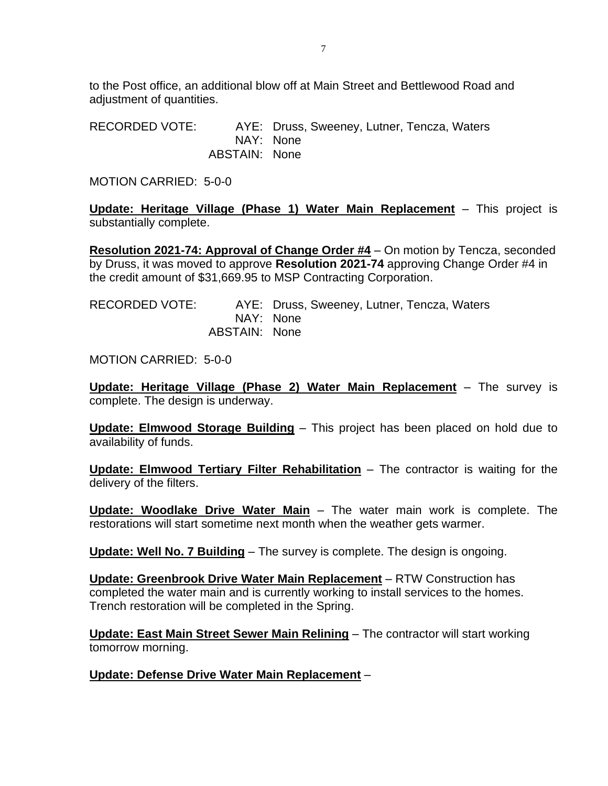to the Post office, an additional blow off at Main Street and Bettlewood Road and adjustment of quantities.

RECORDED VOTE: AYE: Druss, Sweeney, Lutner, Tencza, Waters NAY: None ABSTAIN: None

MOTION CARRIED: 5-0-0

**Update: Heritage Village (Phase 1) Water Main Replacement** – This project is substantially complete.

**Resolution 2021-74: Approval of Change Order #4** – On motion by Tencza, seconded by Druss, it was moved to approve **Resolution 2021-74** approving Change Order #4 in the credit amount of \$31,669.95 to MSP Contracting Corporation.

| RECORDED VOTE: |               | AYE: Druss, Sweeney, Lutner, Tencza, Waters |
|----------------|---------------|---------------------------------------------|
|                |               | NAY: None                                   |
|                | ABSTAIN: None |                                             |

MOTION CARRIED: 5-0-0

**Update: Heritage Village (Phase 2) Water Main Replacement** – The survey is complete. The design is underway.

**Update: Elmwood Storage Building** – This project has been placed on hold due to availability of funds.

**Update: Elmwood Tertiary Filter Rehabilitation** – The contractor is waiting for the delivery of the filters.

**Update: Woodlake Drive Water Main** – The water main work is complete. The restorations will start sometime next month when the weather gets warmer.

**Update: Well No. 7 Building** – The survey is complete. The design is ongoing.

**Update: Greenbrook Drive Water Main Replacement** – RTW Construction has completed the water main and is currently working to install services to the homes. Trench restoration will be completed in the Spring.

**Update: East Main Street Sewer Main Relining** – The contractor will start working tomorrow morning.

**Update: Defense Drive Water Main Replacement** –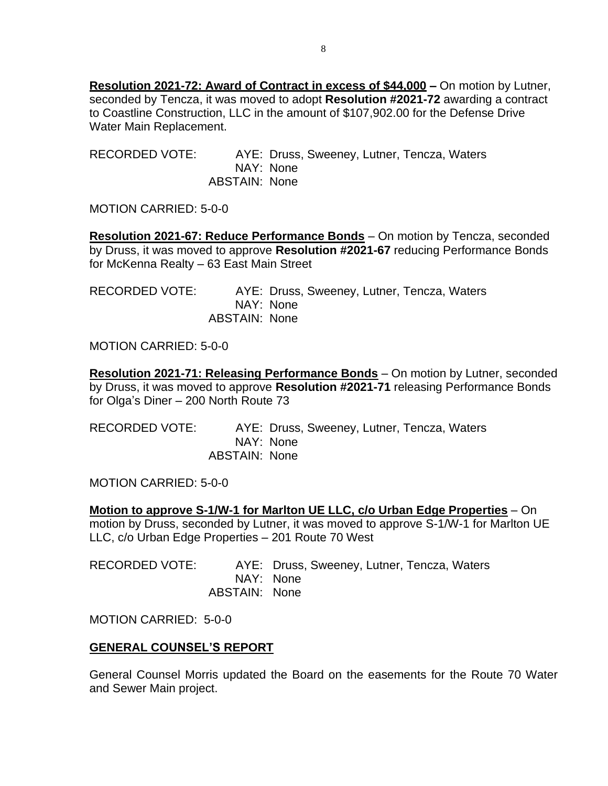**Resolution 2021-72: Award of Contract in excess of \$44,000 –** On motion by Lutner, seconded by Tencza, it was moved to adopt **Resolution #2021-72** awarding a contract to Coastline Construction, LLC in the amount of \$107,902.00 for the Defense Drive Water Main Replacement.

RECORDED VOTE: AYE: Druss, Sweeney, Lutner, Tencza, Waters NAY: None ABSTAIN: None

MOTION CARRIED: 5-0-0

**Resolution 2021-67: Reduce Performance Bonds** – On motion by Tencza, seconded by Druss, it was moved to approve **Resolution #2021-67** reducing Performance Bonds for McKenna Realty – 63 East Main Street

RECORDED VOTE: AYE: Druss, Sweeney, Lutner, Tencza, Waters NAY: None ABSTAIN: None

MOTION CARRIED: 5-0-0

**Resolution 2021-71: Releasing Performance Bonds** – On motion by Lutner, seconded by Druss, it was moved to approve **Resolution #2021-71** releasing Performance Bonds for Olga's Diner – 200 North Route 73

RECORDED VOTE: AYE: Druss, Sweeney, Lutner, Tencza, Waters NAY: None ABSTAIN: None

MOTION CARRIED: 5-0-0

**Motion to approve S-1/W-1 for Marlton UE LLC, c/o Urban Edge Properties** – On motion by Druss, seconded by Lutner, it was moved to approve S-1/W-1 for Marlton UE LLC, c/o Urban Edge Properties – 201 Route 70 West

RECORDED VOTE: AYE: Druss, Sweeney, Lutner, Tencza, Waters NAY: None ABSTAIN: None

MOTION CARRIED: 5-0-0

## **GENERAL COUNSEL'S REPORT**

General Counsel Morris updated the Board on the easements for the Route 70 Water and Sewer Main project.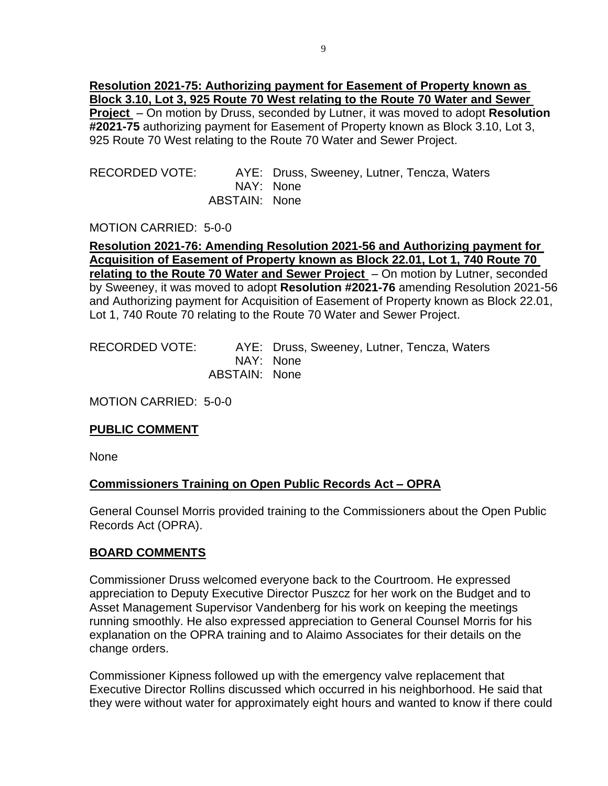**Resolution 2021-75: Authorizing payment for Easement of Property known as Block 3.10, Lot 3, 925 Route 70 West relating to the Route 70 Water and Sewer Project** – On motion by Druss, seconded by Lutner, it was moved to adopt **Resolution #2021-75** authorizing payment for Easement of Property known as Block 3.10, Lot 3, 925 Route 70 West relating to the Route 70 Water and Sewer Project.

RECORDED VOTE: AYE: Druss, Sweeney, Lutner, Tencza, Waters NAY: None ABSTAIN: None

MOTION CARRIED: 5-0-0

**Resolution 2021-76: Amending Resolution 2021-56 and Authorizing payment for Acquisition of Easement of Property known as Block 22.01, Lot 1, 740 Route 70 relating to the Route 70 Water and Sewer Project** – On motion by Lutner, seconded by Sweeney, it was moved to adopt **Resolution #2021-76** amending Resolution 2021-56 and Authorizing payment for Acquisition of Easement of Property known as Block 22.01, Lot 1, 740 Route 70 relating to the Route 70 Water and Sewer Project.

| RECORDED VOTE: |               | AYE: Druss, Sweeney, Lutner, Tencza, Waters |
|----------------|---------------|---------------------------------------------|
|                |               | NAY: None                                   |
|                | ABSTAIN: None |                                             |

MOTION CARRIED: 5-0-0

## **PUBLIC COMMENT**

None

## **Commissioners Training on Open Public Records Act – OPRA**

General Counsel Morris provided training to the Commissioners about the Open Public Records Act (OPRA).

## **BOARD COMMENTS**

Commissioner Druss welcomed everyone back to the Courtroom. He expressed appreciation to Deputy Executive Director Puszcz for her work on the Budget and to Asset Management Supervisor Vandenberg for his work on keeping the meetings running smoothly. He also expressed appreciation to General Counsel Morris for his explanation on the OPRA training and to Alaimo Associates for their details on the change orders.

Commissioner Kipness followed up with the emergency valve replacement that Executive Director Rollins discussed which occurred in his neighborhood. He said that they were without water for approximately eight hours and wanted to know if there could